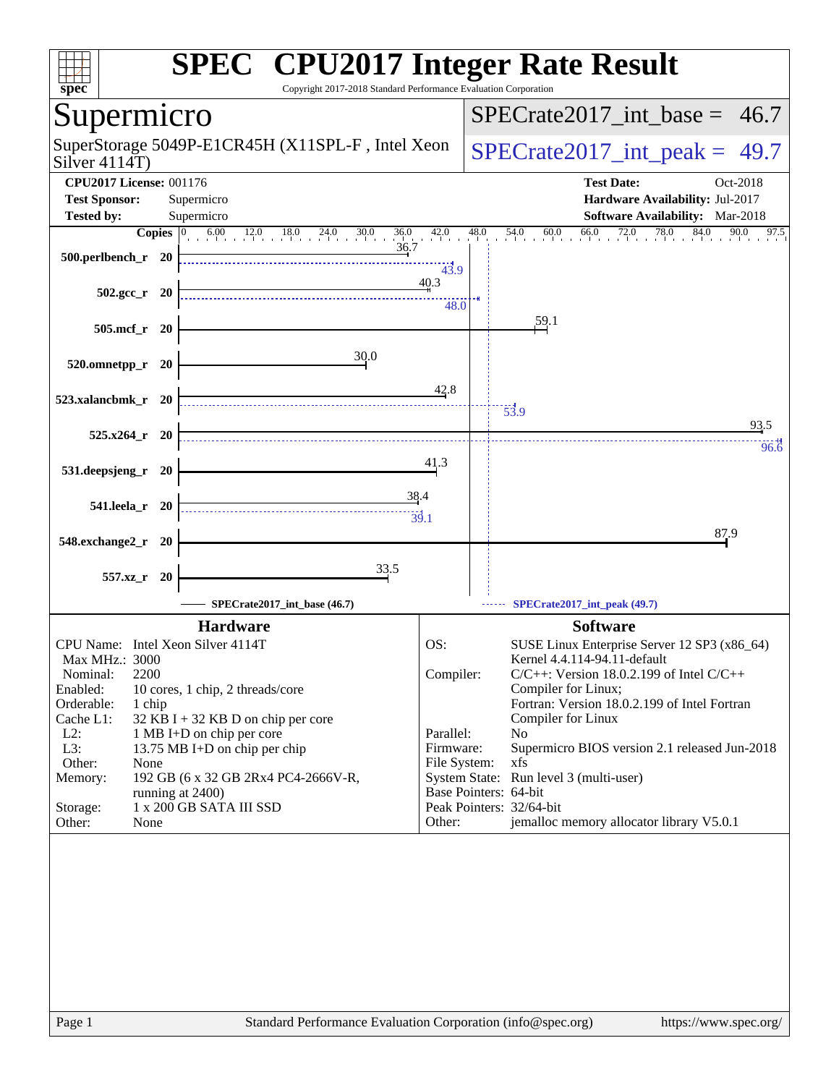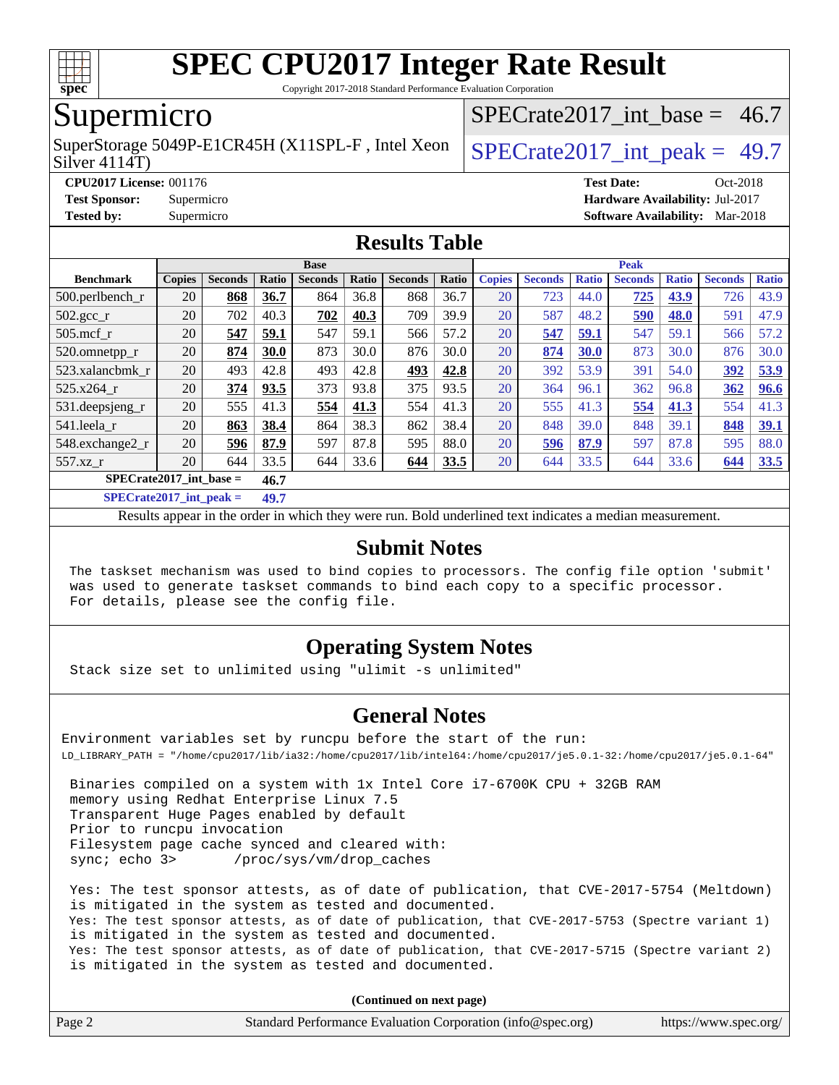

Copyright 2017-2018 Standard Performance Evaluation Corporation

### Supermicro

Silver 4114T) SuperStorage 5049P-E1CR45H (X11SPL-F, Intel Xeon  $\big|$  SPECrate 2017 int peak = 49.7

SPECrate2017 int\_base =  $46.7$ 

**[CPU2017 License:](http://www.spec.org/auto/cpu2017/Docs/result-fields.html#CPU2017License)** 001176 **[Test Date:](http://www.spec.org/auto/cpu2017/Docs/result-fields.html#TestDate)** Oct-2018 **[Test Sponsor:](http://www.spec.org/auto/cpu2017/Docs/result-fields.html#TestSponsor)** Supermicro **[Hardware Availability:](http://www.spec.org/auto/cpu2017/Docs/result-fields.html#HardwareAvailability)** Jul-2017 **[Tested by:](http://www.spec.org/auto/cpu2017/Docs/result-fields.html#Testedby)** Supermicro **[Software Availability:](http://www.spec.org/auto/cpu2017/Docs/result-fields.html#SoftwareAvailability)** Mar-2018

### **[Results Table](http://www.spec.org/auto/cpu2017/Docs/result-fields.html#ResultsTable)**

|                           |               |                |       | <b>Base</b>    |       |                |       |               |                |              | <b>Peak</b>    |              |                |              |
|---------------------------|---------------|----------------|-------|----------------|-------|----------------|-------|---------------|----------------|--------------|----------------|--------------|----------------|--------------|
| <b>Benchmark</b>          | <b>Copies</b> | <b>Seconds</b> | Ratio | <b>Seconds</b> | Ratio | <b>Seconds</b> | Ratio | <b>Copies</b> | <b>Seconds</b> | <b>Ratio</b> | <b>Seconds</b> | <b>Ratio</b> | <b>Seconds</b> | <b>Ratio</b> |
| $500.$ perlbench r        | 20            | 868            | 36.7  | 864            | 36.8  | 868            | 36.7  | 20            | 723            | 44.0         | 725            | 43.9         | 726            | 43.9         |
| $502.\text{gcc}$ _r       | 20            | 702            | 40.3  | 702            | 40.3  | 709            | 39.9  | 20            | 587            | 48.2         | 590            | 48.0         | 591            | 47.9         |
| $505$ .mcf r              | 20            | 547            | 59.1  | 547            | 59.1  | 566            | 57.2  | 20            | 547            | <u>59.1</u>  | 547            | 59.1         | 566            | 57.2         |
| 520.omnetpp_r             | 20            | 874            | 30.0  | 873            | 30.0  | 876            | 30.0  | 20            | 874            | 30.0         | 873            | 30.0         | 876            | 30.0         |
| 523.xalancbmk_r           | 20            | 493            | 42.8  | 493            | 42.8  | 493            | 42.8  | 20            | 392            | 53.9         | 391            | 54.0         | 392            | 53.9         |
| 525.x264 r                | 20            | 374            | 93.5  | 373            | 93.8  | 375            | 93.5  | 20            | 364            | 96.1         | 362            | 96.8         | 362            | 96.6         |
| 531.deepsjeng_r           | 20            | 555            | 41.3  | 554            | 41.3  | 554            | 41.3  | 20            | 555            | 41.3         | 554            | 41.3         | 554            | 41.3         |
| 541.leela r               | 20            | 863            | 38.4  | 864            | 38.3  | 862            | 38.4  | 20            | 848            | 39.0         | 848            | 39.1         | 848            | 39.1         |
| 548.exchange2_r           | 20            | 596            | 87.9  | 597            | 87.8  | 595            | 88.0  | 20            | 596            | 87.9         | 597            | 87.8         | 595            | 88.0         |
| 557.xz r                  | 20            | 644            | 33.5  | 644            | 33.6  | 644            | 33.5  | 20            | 644            | 33.5         | 644            | 33.6         | 644            | 33.5         |
| $SPECrate2017$ int base = |               |                | 46.7  |                |       |                |       |               |                |              |                |              |                |              |

**[SPECrate2017\\_int\\_peak =](http://www.spec.org/auto/cpu2017/Docs/result-fields.html#SPECrate2017intpeak) 49.7**

Results appear in the [order in which they were run](http://www.spec.org/auto/cpu2017/Docs/result-fields.html#RunOrder). Bold underlined text [indicates a median measurement](http://www.spec.org/auto/cpu2017/Docs/result-fields.html#Median).

### **[Submit Notes](http://www.spec.org/auto/cpu2017/Docs/result-fields.html#SubmitNotes)**

 The taskset mechanism was used to bind copies to processors. The config file option 'submit' was used to generate taskset commands to bind each copy to a specific processor. For details, please see the config file.

### **[Operating System Notes](http://www.spec.org/auto/cpu2017/Docs/result-fields.html#OperatingSystemNotes)**

Stack size set to unlimited using "ulimit -s unlimited"

### **[General Notes](http://www.spec.org/auto/cpu2017/Docs/result-fields.html#GeneralNotes)**

Environment variables set by runcpu before the start of the run: LD\_LIBRARY\_PATH = "/home/cpu2017/lib/ia32:/home/cpu2017/lib/intel64:/home/cpu2017/je5.0.1-32:/home/cpu2017/je5.0.1-64"

 Binaries compiled on a system with 1x Intel Core i7-6700K CPU + 32GB RAM memory using Redhat Enterprise Linux 7.5 Transparent Huge Pages enabled by default Prior to runcpu invocation Filesystem page cache synced and cleared with: sync; echo 3> /proc/sys/vm/drop\_caches

 Yes: The test sponsor attests, as of date of publication, that CVE-2017-5754 (Meltdown) is mitigated in the system as tested and documented. Yes: The test sponsor attests, as of date of publication, that CVE-2017-5753 (Spectre variant 1) is mitigated in the system as tested and documented. Yes: The test sponsor attests, as of date of publication, that CVE-2017-5715 (Spectre variant 2) is mitigated in the system as tested and documented.

**(Continued on next page)**

| Page 2<br>Standard Performance Evaluation Corporation (info@spec.org)<br>https://www.spec.org/ |
|------------------------------------------------------------------------------------------------|
|------------------------------------------------------------------------------------------------|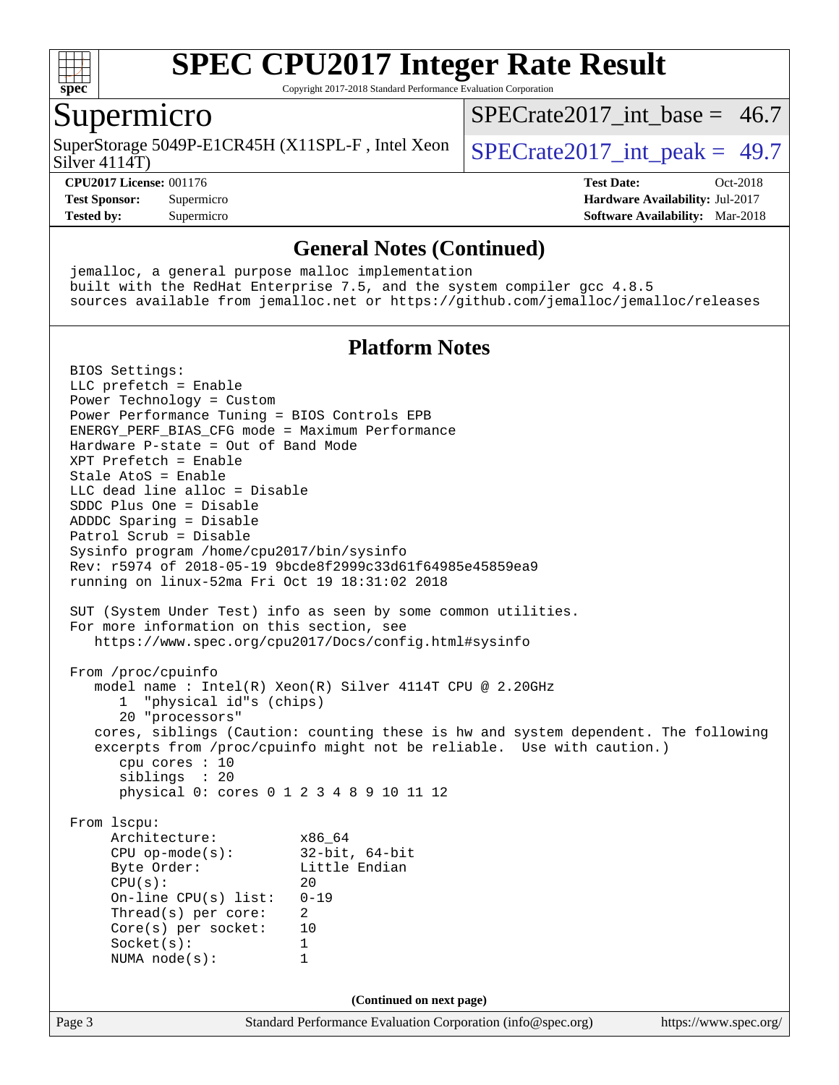

Copyright 2017-2018 Standard Performance Evaluation Corporation

### Supermicro

SuperStorage 5049P-E1CR45H (X11SPL-F, Intel Xeon  $\big|$  SPECrate 2017 int peak = 49.7

[SPECrate2017\\_int\\_base =](http://www.spec.org/auto/cpu2017/Docs/result-fields.html#SPECrate2017intbase) 46.7

#### Silver 4114T)

**[CPU2017 License:](http://www.spec.org/auto/cpu2017/Docs/result-fields.html#CPU2017License)** 001176 **[Test Date:](http://www.spec.org/auto/cpu2017/Docs/result-fields.html#TestDate)** Oct-2018 **[Test Sponsor:](http://www.spec.org/auto/cpu2017/Docs/result-fields.html#TestSponsor)** Supermicro **[Hardware Availability:](http://www.spec.org/auto/cpu2017/Docs/result-fields.html#HardwareAvailability)** Jul-2017 **[Tested by:](http://www.spec.org/auto/cpu2017/Docs/result-fields.html#Testedby)** Supermicro **[Software Availability:](http://www.spec.org/auto/cpu2017/Docs/result-fields.html#SoftwareAvailability)** Mar-2018

#### **[General Notes \(Continued\)](http://www.spec.org/auto/cpu2017/Docs/result-fields.html#GeneralNotes)**

 jemalloc, a general purpose malloc implementation built with the RedHat Enterprise 7.5, and the system compiler gcc 4.8.5 sources available from jemalloc.net or <https://github.com/jemalloc/jemalloc/releases>

### **[Platform Notes](http://www.spec.org/auto/cpu2017/Docs/result-fields.html#PlatformNotes)**

Page 3 Standard Performance Evaluation Corporation [\(info@spec.org\)](mailto:info@spec.org) <https://www.spec.org/> BIOS Settings: LLC prefetch = Enable Power Technology = Custom Power Performance Tuning = BIOS Controls EPB ENERGY\_PERF\_BIAS\_CFG mode = Maximum Performance Hardware P-state = Out of Band Mode XPT Prefetch = Enable Stale AtoS = Enable LLC dead line alloc = Disable SDDC Plus One = Disable ADDDC Sparing = Disable Patrol Scrub = Disable Sysinfo program /home/cpu2017/bin/sysinfo Rev: r5974 of 2018-05-19 9bcde8f2999c33d61f64985e45859ea9 running on linux-52ma Fri Oct 19 18:31:02 2018 SUT (System Under Test) info as seen by some common utilities. For more information on this section, see <https://www.spec.org/cpu2017/Docs/config.html#sysinfo> From /proc/cpuinfo model name : Intel(R) Xeon(R) Silver 4114T CPU @ 2.20GHz 1 "physical id"s (chips) 20 "processors" cores, siblings (Caution: counting these is hw and system dependent. The following excerpts from /proc/cpuinfo might not be reliable. Use with caution.) cpu cores : 10 siblings : 20 physical 0: cores 0 1 2 3 4 8 9 10 11 12 From lscpu: Architecture: x86\_64 CPU op-mode(s): 32-bit, 64-bit Byte Order: Little Endian  $CPU(s):$  20 On-line CPU(s) list: 0-19 Thread(s) per core: 2 Core(s) per socket: 10 Socket(s): 1 NUMA node(s): 1 **(Continued on next page)**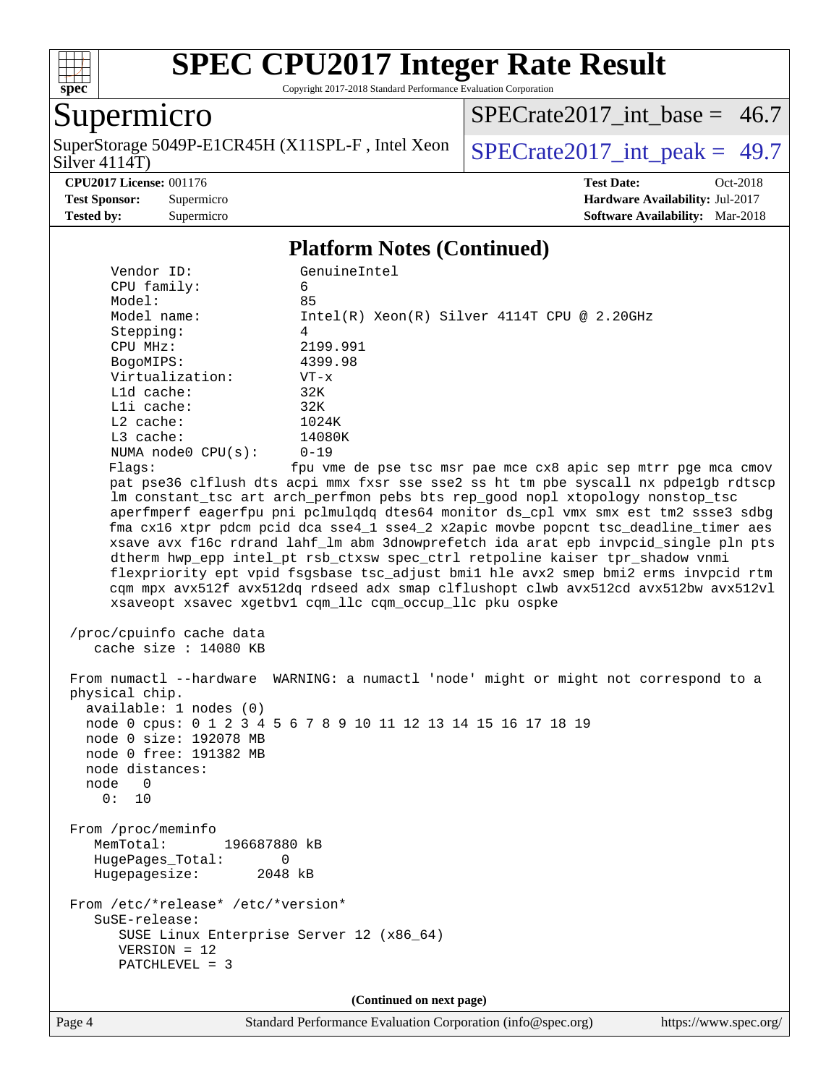

Copyright 2017-2018 Standard Performance Evaluation Corporation

### Supermicro

Silver 4114T) SuperStorage 5049P-E1CR45H (X11SPL-F, Intel Xeon  $\big|$  [SPECrate2017\\_int\\_peak =](http://www.spec.org/auto/cpu2017/Docs/result-fields.html#SPECrate2017intpeak) 49.7

[SPECrate2017\\_int\\_base =](http://www.spec.org/auto/cpu2017/Docs/result-fields.html#SPECrate2017intbase) 46.7

**[CPU2017 License:](http://www.spec.org/auto/cpu2017/Docs/result-fields.html#CPU2017License)** 001176 **[Test Date:](http://www.spec.org/auto/cpu2017/Docs/result-fields.html#TestDate)** Oct-2018 **[Test Sponsor:](http://www.spec.org/auto/cpu2017/Docs/result-fields.html#TestSponsor)** Supermicro **[Hardware Availability:](http://www.spec.org/auto/cpu2017/Docs/result-fields.html#HardwareAvailability)** Jul-2017 **[Tested by:](http://www.spec.org/auto/cpu2017/Docs/result-fields.html#Testedby)** Supermicro **[Software Availability:](http://www.spec.org/auto/cpu2017/Docs/result-fields.html#SoftwareAvailability)** Mar-2018

### **[Platform Notes \(Continued\)](http://www.spec.org/auto/cpu2017/Docs/result-fields.html#PlatformNotes)**

| Vendor ID:                                                                                                                                         | GenuineIntel                                                                                                                                                                                                                                                                                                                                                                                                                                                                                                                                                                                                                                                                                                                                                      |
|----------------------------------------------------------------------------------------------------------------------------------------------------|-------------------------------------------------------------------------------------------------------------------------------------------------------------------------------------------------------------------------------------------------------------------------------------------------------------------------------------------------------------------------------------------------------------------------------------------------------------------------------------------------------------------------------------------------------------------------------------------------------------------------------------------------------------------------------------------------------------------------------------------------------------------|
| CPU family:                                                                                                                                        | 6                                                                                                                                                                                                                                                                                                                                                                                                                                                                                                                                                                                                                                                                                                                                                                 |
| Model:                                                                                                                                             | 85                                                                                                                                                                                                                                                                                                                                                                                                                                                                                                                                                                                                                                                                                                                                                                |
| Model name:                                                                                                                                        | $Intel(R) Xeon(R) Silver 4114T CPU @ 2.20GHz$                                                                                                                                                                                                                                                                                                                                                                                                                                                                                                                                                                                                                                                                                                                     |
| Stepping:                                                                                                                                          | 4                                                                                                                                                                                                                                                                                                                                                                                                                                                                                                                                                                                                                                                                                                                                                                 |
| CPU MHz:                                                                                                                                           | 2199.991                                                                                                                                                                                                                                                                                                                                                                                                                                                                                                                                                                                                                                                                                                                                                          |
| BogoMIPS:                                                                                                                                          | 4399.98                                                                                                                                                                                                                                                                                                                                                                                                                                                                                                                                                                                                                                                                                                                                                           |
| Virtualization:                                                                                                                                    | $VT - x$                                                                                                                                                                                                                                                                                                                                                                                                                                                                                                                                                                                                                                                                                                                                                          |
| $L1d$ cache:                                                                                                                                       | 32K                                                                                                                                                                                                                                                                                                                                                                                                                                                                                                                                                                                                                                                                                                                                                               |
| Lli cache:                                                                                                                                         | 32K                                                                                                                                                                                                                                                                                                                                                                                                                                                                                                                                                                                                                                                                                                                                                               |
| L2 cache:                                                                                                                                          | 1024K                                                                                                                                                                                                                                                                                                                                                                                                                                                                                                                                                                                                                                                                                                                                                             |
| L3 cache:                                                                                                                                          | 14080K                                                                                                                                                                                                                                                                                                                                                                                                                                                                                                                                                                                                                                                                                                                                                            |
| NUMA node0 CPU(s):                                                                                                                                 | $0 - 19$                                                                                                                                                                                                                                                                                                                                                                                                                                                                                                                                                                                                                                                                                                                                                          |
| Flags:                                                                                                                                             | fpu vme de pse tsc msr pae mce cx8 apic sep mtrr pge mca cmov                                                                                                                                                                                                                                                                                                                                                                                                                                                                                                                                                                                                                                                                                                     |
|                                                                                                                                                    | pat pse36 clflush dts acpi mmx fxsr sse sse2 ss ht tm pbe syscall nx pdpe1gb rdtscp<br>lm constant_tsc art arch_perfmon pebs bts rep_good nopl xtopology nonstop_tsc<br>aperfmperf eagerfpu pni pclmulqdq dtes64 monitor ds_cpl vmx smx est tm2 ssse3 sdbg<br>fma cx16 xtpr pdcm pcid dca sse4_1 sse4_2 x2apic movbe popcnt tsc_deadline_timer aes<br>xsave avx f16c rdrand lahf_lm abm 3dnowprefetch ida arat epb invpcid_single pln pts<br>dtherm hwp_epp intel_pt rsb_ctxsw spec_ctrl retpoline kaiser tpr_shadow vnmi<br>flexpriority ept vpid fsgsbase tsc_adjust bmil hle avx2 smep bmi2 erms invpcid rtm<br>cqm mpx avx512f avx512dq rdseed adx smap clflushopt clwb avx512cd avx512bw avx512vl<br>xsaveopt xsavec xgetbvl cqm_llc cqm_occup_llc pku ospke |
| /proc/cpuinfo cache data<br>cache size : 14080 KB                                                                                                  |                                                                                                                                                                                                                                                                                                                                                                                                                                                                                                                                                                                                                                                                                                                                                                   |
| physical chip.<br>available: 1 nodes (0)<br>node 0 size: 192078 MB<br>node 0 free: 191382 MB<br>node distances:<br>$\overline{0}$<br>node<br>0: 10 | From numactl --hardware WARNING: a numactl 'node' might or might not correspond to a<br>node 0 cpus: 0 1 2 3 4 5 6 7 8 9 10 11 12 13 14 15 16 17 18 19                                                                                                                                                                                                                                                                                                                                                                                                                                                                                                                                                                                                            |
| From /proc/meminfo<br>MemTotal:<br>196687880 kB<br>HugePages_Total:<br>0<br>Hugepagesize: 2048 kB                                                  |                                                                                                                                                                                                                                                                                                                                                                                                                                                                                                                                                                                                                                                                                                                                                                   |
| From /etc/*release* /etc/*version*<br>SuSE-release:<br>SUSE Linux Enterprise Server 12 (x86_64)<br>$VERSION = 12$<br>PATCHLEVEL = 3                |                                                                                                                                                                                                                                                                                                                                                                                                                                                                                                                                                                                                                                                                                                                                                                   |
|                                                                                                                                                    | (Continued on next page)                                                                                                                                                                                                                                                                                                                                                                                                                                                                                                                                                                                                                                                                                                                                          |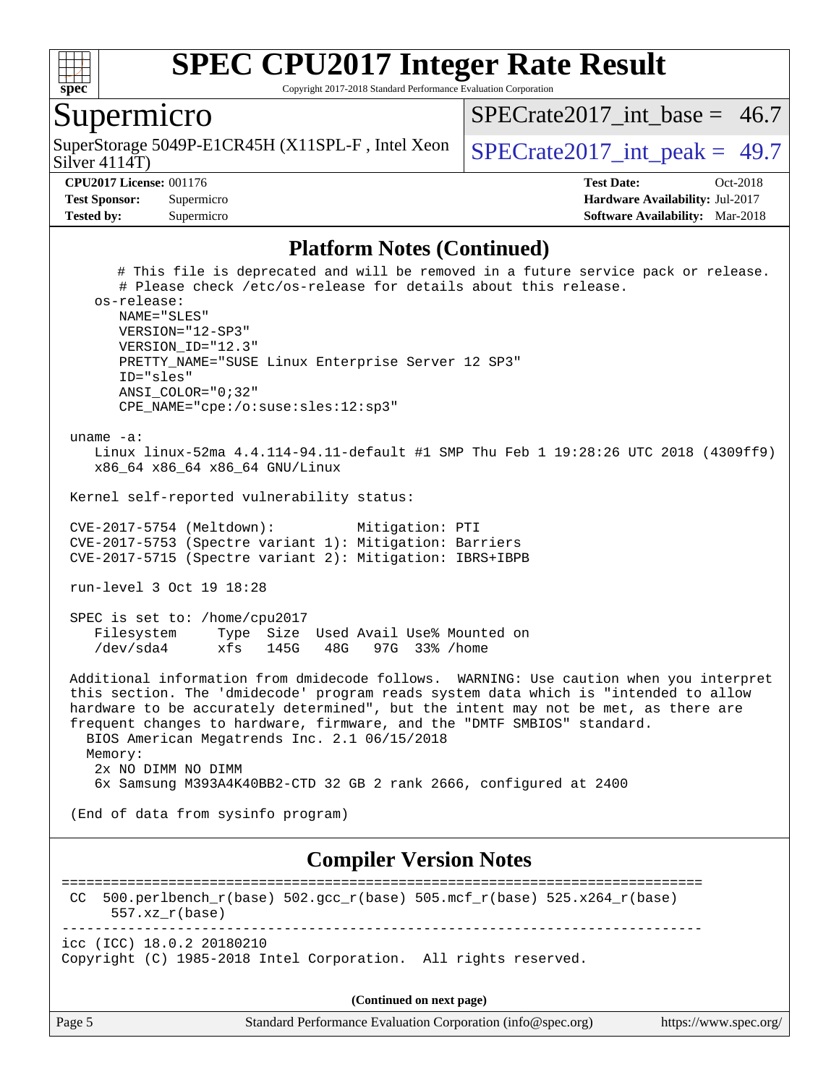

Copyright 2017-2018 Standard Performance Evaluation Corporation

### Supermicro

Silver 4114T) SuperStorage 5049P-E1CR45H (X11SPL-F, Intel Xeon  $\big|$  SPECrate 2017 int peak = 49.7

SPECrate2017 int\_base =  $46.7$ 

**[CPU2017 License:](http://www.spec.org/auto/cpu2017/Docs/result-fields.html#CPU2017License)** 001176 **[Test Date:](http://www.spec.org/auto/cpu2017/Docs/result-fields.html#TestDate)** Oct-2018 **[Test Sponsor:](http://www.spec.org/auto/cpu2017/Docs/result-fields.html#TestSponsor)** Supermicro **[Hardware Availability:](http://www.spec.org/auto/cpu2017/Docs/result-fields.html#HardwareAvailability)** Jul-2017 **[Tested by:](http://www.spec.org/auto/cpu2017/Docs/result-fields.html#Testedby)** Supermicro **[Software Availability:](http://www.spec.org/auto/cpu2017/Docs/result-fields.html#SoftwareAvailability)** Mar-2018

#### **[Platform Notes \(Continued\)](http://www.spec.org/auto/cpu2017/Docs/result-fields.html#PlatformNotes)**

 # This file is deprecated and will be removed in a future service pack or release. # Please check /etc/os-release for details about this release. os-release: NAME="SLES" VERSION="12-SP3" VERSION\_ID="12.3" PRETTY\_NAME="SUSE Linux Enterprise Server 12 SP3" ID="sles" ANSI\_COLOR="0;32" CPE\_NAME="cpe:/o:suse:sles:12:sp3" uname -a: Linux linux-52ma 4.4.114-94.11-default #1 SMP Thu Feb 1 19:28:26 UTC 2018 (4309ff9) x86\_64 x86\_64 x86\_64 GNU/Linux Kernel self-reported vulnerability status: CVE-2017-5754 (Meltdown): Mitigation: PTI CVE-2017-5753 (Spectre variant 1): Mitigation: Barriers CVE-2017-5715 (Spectre variant 2): Mitigation: IBRS+IBPB run-level 3 Oct 19 18:28 SPEC is set to: /home/cpu2017 Filesystem Type Size Used Avail Use% Mounted on /dev/sda4 xfs 145G 48G 97G 33% /home Additional information from dmidecode follows. WARNING: Use caution when you interpret this section. The 'dmidecode' program reads system data which is "intended to allow hardware to be accurately determined", but the intent may not be met, as there are frequent changes to hardware, firmware, and the "DMTF SMBIOS" standard. BIOS American Megatrends Inc. 2.1 06/15/2018 Memory: 2x NO DIMM NO DIMM 6x Samsung M393A4K40BB2-CTD 32 GB 2 rank 2666, configured at 2400 (End of data from sysinfo program) **[Compiler Version Notes](http://www.spec.org/auto/cpu2017/Docs/result-fields.html#CompilerVersionNotes)** ============================================================================== CC 500.perlbench\_r(base)  $502.\text{gcc\_r}$ (base)  $505.\text{mcf\_r}$ (base)  $525.\text{x}264_\text{r}$ (base) 557.xz\_r(base)

----------------------------------------------------------------------------- icc (ICC) 18.0.2 20180210

Copyright (C) 1985-2018 Intel Corporation. All rights reserved.

|        | (Continued on next page)                                    |                       |
|--------|-------------------------------------------------------------|-----------------------|
| Page 5 | Standard Performance Evaluation Corporation (info@spec.org) | https://www.spec.org/ |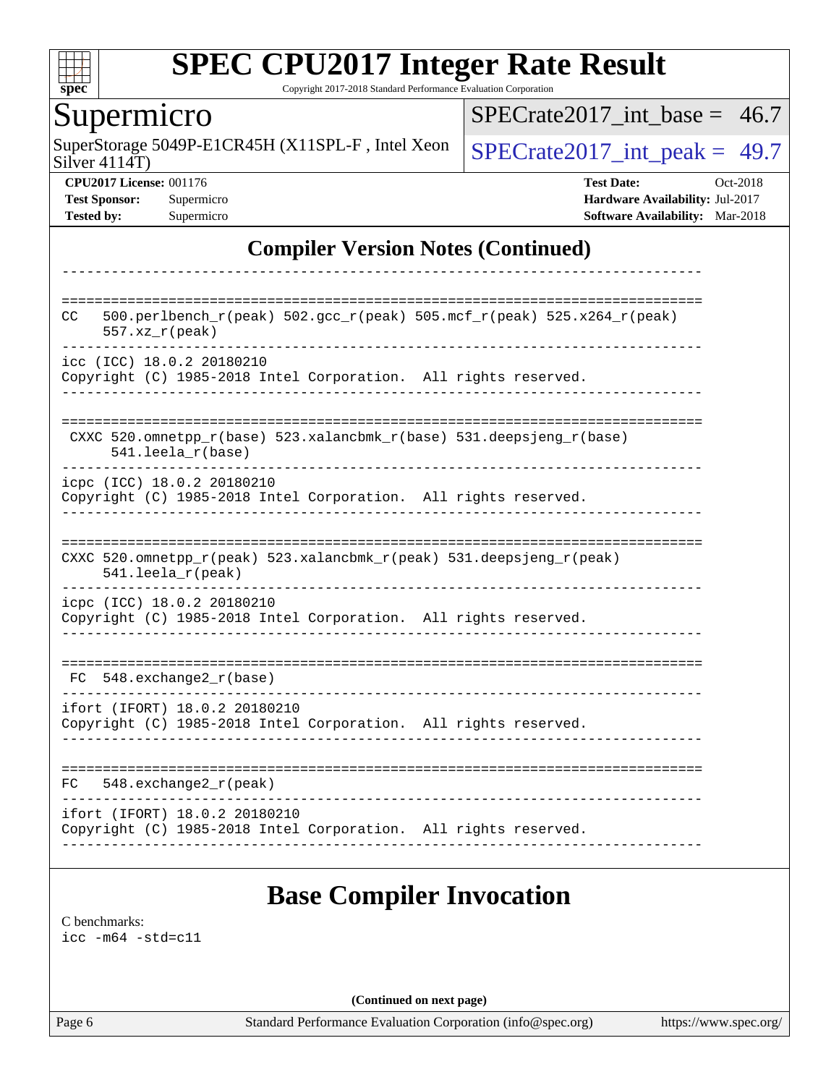

Copyright 2017-2018 Standard Performance Evaluation Corporation

### Supermicro

SuperStorage 5049P-E1CR45H (X11SPL-F, Intel Xeon  $\big|$  [SPECrate2017\\_int\\_peak =](http://www.spec.org/auto/cpu2017/Docs/result-fields.html#SPECrate2017intpeak) 49.7

[SPECrate2017\\_int\\_base =](http://www.spec.org/auto/cpu2017/Docs/result-fields.html#SPECrate2017intbase) 46.7

Silver 4114T)

**[CPU2017 License:](http://www.spec.org/auto/cpu2017/Docs/result-fields.html#CPU2017License)** 001176 **[Test Date:](http://www.spec.org/auto/cpu2017/Docs/result-fields.html#TestDate)** Oct-2018 **[Test Sponsor:](http://www.spec.org/auto/cpu2017/Docs/result-fields.html#TestSponsor)** Supermicro **[Hardware Availability:](http://www.spec.org/auto/cpu2017/Docs/result-fields.html#HardwareAvailability)** Jul-2017 **[Tested by:](http://www.spec.org/auto/cpu2017/Docs/result-fields.html#Testedby)** Supermicro **Supermicro [Software Availability:](http://www.spec.org/auto/cpu2017/Docs/result-fields.html#SoftwareAvailability)** Mar-2018

### **[Compiler Version Notes \(Continued\)](http://www.spec.org/auto/cpu2017/Docs/result-fields.html#CompilerVersionNotes)**

| CC  | 500.perlbench_r(peak) 502.gcc_r(peak) 505.mcf_r(peak) 525.x264_r(peak)<br>$557. xz_r (peak)$     |
|-----|--------------------------------------------------------------------------------------------------|
|     | icc (ICC) 18.0.2 20180210<br>Copyright (C) 1985-2018 Intel Corporation. All rights reserved.     |
|     | CXXC 520.omnetpp_r(base) 523.xalancbmk_r(base) 531.deepsjeng_r(base)<br>$541.$ leela_r(base)     |
|     | icpc (ICC) 18.0.2 20180210<br>Copyright (C) 1985-2018 Intel Corporation. All rights reserved.    |
|     | CXXC 520.omnetpp_r(peak) 523.xalancbmk_r(peak) 531.deepsjeng_r(peak)<br>541.leela_r(peak)        |
|     | icpc (ICC) 18.0.2 20180210<br>Copyright (C) 1985-2018 Intel Corporation. All rights reserved.    |
| FC. | 548.exchange2 r(base)                                                                            |
|     | ifort (IFORT) 18.0.2 20180210<br>Copyright (C) 1985-2018 Intel Corporation. All rights reserved. |
| FC  | $548$ . exchange $2r$ (peak)                                                                     |
|     | ifort (IFORT) 18.0.2 20180210<br>Copyright (C) 1985-2018 Intel Corporation. All rights reserved. |

[C benchmarks](http://www.spec.org/auto/cpu2017/Docs/result-fields.html#Cbenchmarks): [icc -m64 -std=c11](http://www.spec.org/cpu2017/results/res2018q4/cpu2017-20181029-09411.flags.html#user_CCbase_intel_icc_64bit_c11_33ee0cdaae7deeeab2a9725423ba97205ce30f63b9926c2519791662299b76a0318f32ddfffdc46587804de3178b4f9328c46fa7c2b0cd779d7a61945c91cd35)

**(Continued on next page)**

Page 6 Standard Performance Evaluation Corporation [\(info@spec.org\)](mailto:info@spec.org) <https://www.spec.org/>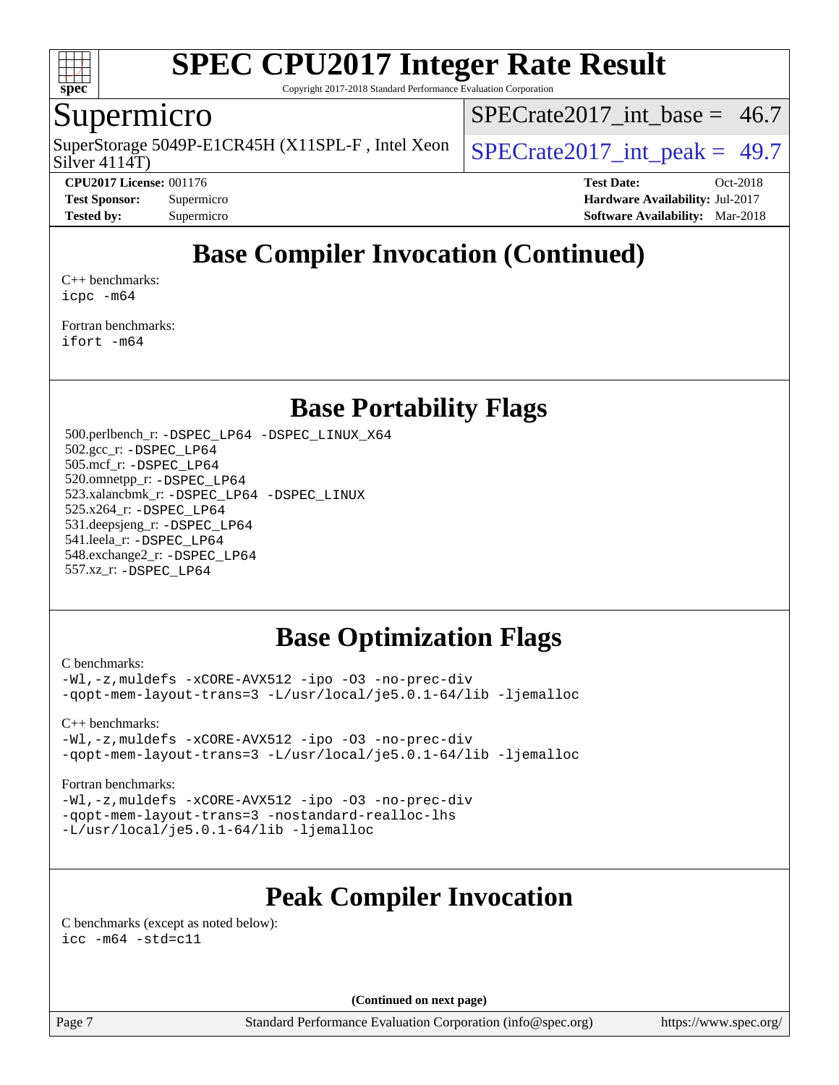

Copyright 2017-2018 Standard Performance Evaluation Corporation

### Supermicro

Silver 4114T) SuperStorage 5049P-E1CR45H (X11SPL-F, Intel Xeon  $\big|$  SPECrate 2017 int peak = 49.7

 $SPECTate2017\_int\_base = 46.7$ 

**[CPU2017 License:](http://www.spec.org/auto/cpu2017/Docs/result-fields.html#CPU2017License)** 001176 **[Test Date:](http://www.spec.org/auto/cpu2017/Docs/result-fields.html#TestDate)** Oct-2018 **[Test Sponsor:](http://www.spec.org/auto/cpu2017/Docs/result-fields.html#TestSponsor)** Supermicro **[Hardware Availability:](http://www.spec.org/auto/cpu2017/Docs/result-fields.html#HardwareAvailability)** Jul-2017 **[Tested by:](http://www.spec.org/auto/cpu2017/Docs/result-fields.html#Testedby)** Supermicro **[Software Availability:](http://www.spec.org/auto/cpu2017/Docs/result-fields.html#SoftwareAvailability)** Mar-2018

## **[Base Compiler Invocation \(Continued\)](http://www.spec.org/auto/cpu2017/Docs/result-fields.html#BaseCompilerInvocation)**

[C++ benchmarks:](http://www.spec.org/auto/cpu2017/Docs/result-fields.html#CXXbenchmarks) [icpc -m64](http://www.spec.org/cpu2017/results/res2018q4/cpu2017-20181029-09411.flags.html#user_CXXbase_intel_icpc_64bit_4ecb2543ae3f1412ef961e0650ca070fec7b7afdcd6ed48761b84423119d1bf6bdf5cad15b44d48e7256388bc77273b966e5eb805aefd121eb22e9299b2ec9d9)

[Fortran benchmarks](http://www.spec.org/auto/cpu2017/Docs/result-fields.html#Fortranbenchmarks): [ifort -m64](http://www.spec.org/cpu2017/results/res2018q4/cpu2017-20181029-09411.flags.html#user_FCbase_intel_ifort_64bit_24f2bb282fbaeffd6157abe4f878425411749daecae9a33200eee2bee2fe76f3b89351d69a8130dd5949958ce389cf37ff59a95e7a40d588e8d3a57e0c3fd751)

### **[Base Portability Flags](http://www.spec.org/auto/cpu2017/Docs/result-fields.html#BasePortabilityFlags)**

 500.perlbench\_r: [-DSPEC\\_LP64](http://www.spec.org/cpu2017/results/res2018q4/cpu2017-20181029-09411.flags.html#b500.perlbench_r_basePORTABILITY_DSPEC_LP64) [-DSPEC\\_LINUX\\_X64](http://www.spec.org/cpu2017/results/res2018q4/cpu2017-20181029-09411.flags.html#b500.perlbench_r_baseCPORTABILITY_DSPEC_LINUX_X64) 502.gcc\_r: [-DSPEC\\_LP64](http://www.spec.org/cpu2017/results/res2018q4/cpu2017-20181029-09411.flags.html#suite_basePORTABILITY502_gcc_r_DSPEC_LP64) 505.mcf\_r: [-DSPEC\\_LP64](http://www.spec.org/cpu2017/results/res2018q4/cpu2017-20181029-09411.flags.html#suite_basePORTABILITY505_mcf_r_DSPEC_LP64) 520.omnetpp\_r: [-DSPEC\\_LP64](http://www.spec.org/cpu2017/results/res2018q4/cpu2017-20181029-09411.flags.html#suite_basePORTABILITY520_omnetpp_r_DSPEC_LP64) 523.xalancbmk\_r: [-DSPEC\\_LP64](http://www.spec.org/cpu2017/results/res2018q4/cpu2017-20181029-09411.flags.html#suite_basePORTABILITY523_xalancbmk_r_DSPEC_LP64) [-DSPEC\\_LINUX](http://www.spec.org/cpu2017/results/res2018q4/cpu2017-20181029-09411.flags.html#b523.xalancbmk_r_baseCXXPORTABILITY_DSPEC_LINUX) 525.x264\_r: [-DSPEC\\_LP64](http://www.spec.org/cpu2017/results/res2018q4/cpu2017-20181029-09411.flags.html#suite_basePORTABILITY525_x264_r_DSPEC_LP64) 531.deepsjeng\_r: [-DSPEC\\_LP64](http://www.spec.org/cpu2017/results/res2018q4/cpu2017-20181029-09411.flags.html#suite_basePORTABILITY531_deepsjeng_r_DSPEC_LP64) 541.leela\_r: [-DSPEC\\_LP64](http://www.spec.org/cpu2017/results/res2018q4/cpu2017-20181029-09411.flags.html#suite_basePORTABILITY541_leela_r_DSPEC_LP64) 548.exchange2\_r: [-DSPEC\\_LP64](http://www.spec.org/cpu2017/results/res2018q4/cpu2017-20181029-09411.flags.html#suite_basePORTABILITY548_exchange2_r_DSPEC_LP64) 557.xz\_r: [-DSPEC\\_LP64](http://www.spec.org/cpu2017/results/res2018q4/cpu2017-20181029-09411.flags.html#suite_basePORTABILITY557_xz_r_DSPEC_LP64)

### **[Base Optimization Flags](http://www.spec.org/auto/cpu2017/Docs/result-fields.html#BaseOptimizationFlags)**

[C benchmarks](http://www.spec.org/auto/cpu2017/Docs/result-fields.html#Cbenchmarks):

[-Wl,-z,muldefs](http://www.spec.org/cpu2017/results/res2018q4/cpu2017-20181029-09411.flags.html#user_CCbase_link_force_multiple1_b4cbdb97b34bdee9ceefcfe54f4c8ea74255f0b02a4b23e853cdb0e18eb4525ac79b5a88067c842dd0ee6996c24547a27a4b99331201badda8798ef8a743f577) [-xCORE-AVX512](http://www.spec.org/cpu2017/results/res2018q4/cpu2017-20181029-09411.flags.html#user_CCbase_f-xCORE-AVX512) [-ipo](http://www.spec.org/cpu2017/results/res2018q4/cpu2017-20181029-09411.flags.html#user_CCbase_f-ipo) [-O3](http://www.spec.org/cpu2017/results/res2018q4/cpu2017-20181029-09411.flags.html#user_CCbase_f-O3) [-no-prec-div](http://www.spec.org/cpu2017/results/res2018q4/cpu2017-20181029-09411.flags.html#user_CCbase_f-no-prec-div) [-qopt-mem-layout-trans=3](http://www.spec.org/cpu2017/results/res2018q4/cpu2017-20181029-09411.flags.html#user_CCbase_f-qopt-mem-layout-trans_de80db37974c74b1f0e20d883f0b675c88c3b01e9d123adea9b28688d64333345fb62bc4a798493513fdb68f60282f9a726aa07f478b2f7113531aecce732043) [-L/usr/local/je5.0.1-64/lib](http://www.spec.org/cpu2017/results/res2018q4/cpu2017-20181029-09411.flags.html#user_CCbase_jemalloc_link_path64_4b10a636b7bce113509b17f3bd0d6226c5fb2346b9178c2d0232c14f04ab830f976640479e5c33dc2bcbbdad86ecfb6634cbbd4418746f06f368b512fced5394) [-ljemalloc](http://www.spec.org/cpu2017/results/res2018q4/cpu2017-20181029-09411.flags.html#user_CCbase_jemalloc_link_lib_d1249b907c500fa1c0672f44f562e3d0f79738ae9e3c4a9c376d49f265a04b9c99b167ecedbf6711b3085be911c67ff61f150a17b3472be731631ba4d0471706)

[C++ benchmarks:](http://www.spec.org/auto/cpu2017/Docs/result-fields.html#CXXbenchmarks)

[-Wl,-z,muldefs](http://www.spec.org/cpu2017/results/res2018q4/cpu2017-20181029-09411.flags.html#user_CXXbase_link_force_multiple1_b4cbdb97b34bdee9ceefcfe54f4c8ea74255f0b02a4b23e853cdb0e18eb4525ac79b5a88067c842dd0ee6996c24547a27a4b99331201badda8798ef8a743f577) [-xCORE-AVX512](http://www.spec.org/cpu2017/results/res2018q4/cpu2017-20181029-09411.flags.html#user_CXXbase_f-xCORE-AVX512) [-ipo](http://www.spec.org/cpu2017/results/res2018q4/cpu2017-20181029-09411.flags.html#user_CXXbase_f-ipo) [-O3](http://www.spec.org/cpu2017/results/res2018q4/cpu2017-20181029-09411.flags.html#user_CXXbase_f-O3) [-no-prec-div](http://www.spec.org/cpu2017/results/res2018q4/cpu2017-20181029-09411.flags.html#user_CXXbase_f-no-prec-div) [-qopt-mem-layout-trans=3](http://www.spec.org/cpu2017/results/res2018q4/cpu2017-20181029-09411.flags.html#user_CXXbase_f-qopt-mem-layout-trans_de80db37974c74b1f0e20d883f0b675c88c3b01e9d123adea9b28688d64333345fb62bc4a798493513fdb68f60282f9a726aa07f478b2f7113531aecce732043) [-L/usr/local/je5.0.1-64/lib](http://www.spec.org/cpu2017/results/res2018q4/cpu2017-20181029-09411.flags.html#user_CXXbase_jemalloc_link_path64_4b10a636b7bce113509b17f3bd0d6226c5fb2346b9178c2d0232c14f04ab830f976640479e5c33dc2bcbbdad86ecfb6634cbbd4418746f06f368b512fced5394) [-ljemalloc](http://www.spec.org/cpu2017/results/res2018q4/cpu2017-20181029-09411.flags.html#user_CXXbase_jemalloc_link_lib_d1249b907c500fa1c0672f44f562e3d0f79738ae9e3c4a9c376d49f265a04b9c99b167ecedbf6711b3085be911c67ff61f150a17b3472be731631ba4d0471706)

#### [Fortran benchmarks](http://www.spec.org/auto/cpu2017/Docs/result-fields.html#Fortranbenchmarks):

[-Wl,-z,muldefs](http://www.spec.org/cpu2017/results/res2018q4/cpu2017-20181029-09411.flags.html#user_FCbase_link_force_multiple1_b4cbdb97b34bdee9ceefcfe54f4c8ea74255f0b02a4b23e853cdb0e18eb4525ac79b5a88067c842dd0ee6996c24547a27a4b99331201badda8798ef8a743f577) [-xCORE-AVX512](http://www.spec.org/cpu2017/results/res2018q4/cpu2017-20181029-09411.flags.html#user_FCbase_f-xCORE-AVX512) [-ipo](http://www.spec.org/cpu2017/results/res2018q4/cpu2017-20181029-09411.flags.html#user_FCbase_f-ipo) [-O3](http://www.spec.org/cpu2017/results/res2018q4/cpu2017-20181029-09411.flags.html#user_FCbase_f-O3) [-no-prec-div](http://www.spec.org/cpu2017/results/res2018q4/cpu2017-20181029-09411.flags.html#user_FCbase_f-no-prec-div) [-qopt-mem-layout-trans=3](http://www.spec.org/cpu2017/results/res2018q4/cpu2017-20181029-09411.flags.html#user_FCbase_f-qopt-mem-layout-trans_de80db37974c74b1f0e20d883f0b675c88c3b01e9d123adea9b28688d64333345fb62bc4a798493513fdb68f60282f9a726aa07f478b2f7113531aecce732043) [-nostandard-realloc-lhs](http://www.spec.org/cpu2017/results/res2018q4/cpu2017-20181029-09411.flags.html#user_FCbase_f_2003_std_realloc_82b4557e90729c0f113870c07e44d33d6f5a304b4f63d4c15d2d0f1fab99f5daaed73bdb9275d9ae411527f28b936061aa8b9c8f2d63842963b95c9dd6426b8a) [-L/usr/local/je5.0.1-64/lib](http://www.spec.org/cpu2017/results/res2018q4/cpu2017-20181029-09411.flags.html#user_FCbase_jemalloc_link_path64_4b10a636b7bce113509b17f3bd0d6226c5fb2346b9178c2d0232c14f04ab830f976640479e5c33dc2bcbbdad86ecfb6634cbbd4418746f06f368b512fced5394) [-ljemalloc](http://www.spec.org/cpu2017/results/res2018q4/cpu2017-20181029-09411.flags.html#user_FCbase_jemalloc_link_lib_d1249b907c500fa1c0672f44f562e3d0f79738ae9e3c4a9c376d49f265a04b9c99b167ecedbf6711b3085be911c67ff61f150a17b3472be731631ba4d0471706)

## **[Peak Compiler Invocation](http://www.spec.org/auto/cpu2017/Docs/result-fields.html#PeakCompilerInvocation)**

[C benchmarks \(except as noted below\)](http://www.spec.org/auto/cpu2017/Docs/result-fields.html#Cbenchmarksexceptasnotedbelow): [icc -m64 -std=c11](http://www.spec.org/cpu2017/results/res2018q4/cpu2017-20181029-09411.flags.html#user_CCpeak_intel_icc_64bit_c11_33ee0cdaae7deeeab2a9725423ba97205ce30f63b9926c2519791662299b76a0318f32ddfffdc46587804de3178b4f9328c46fa7c2b0cd779d7a61945c91cd35)

**(Continued on next page)**

Page 7 Standard Performance Evaluation Corporation [\(info@spec.org\)](mailto:info@spec.org) <https://www.spec.org/>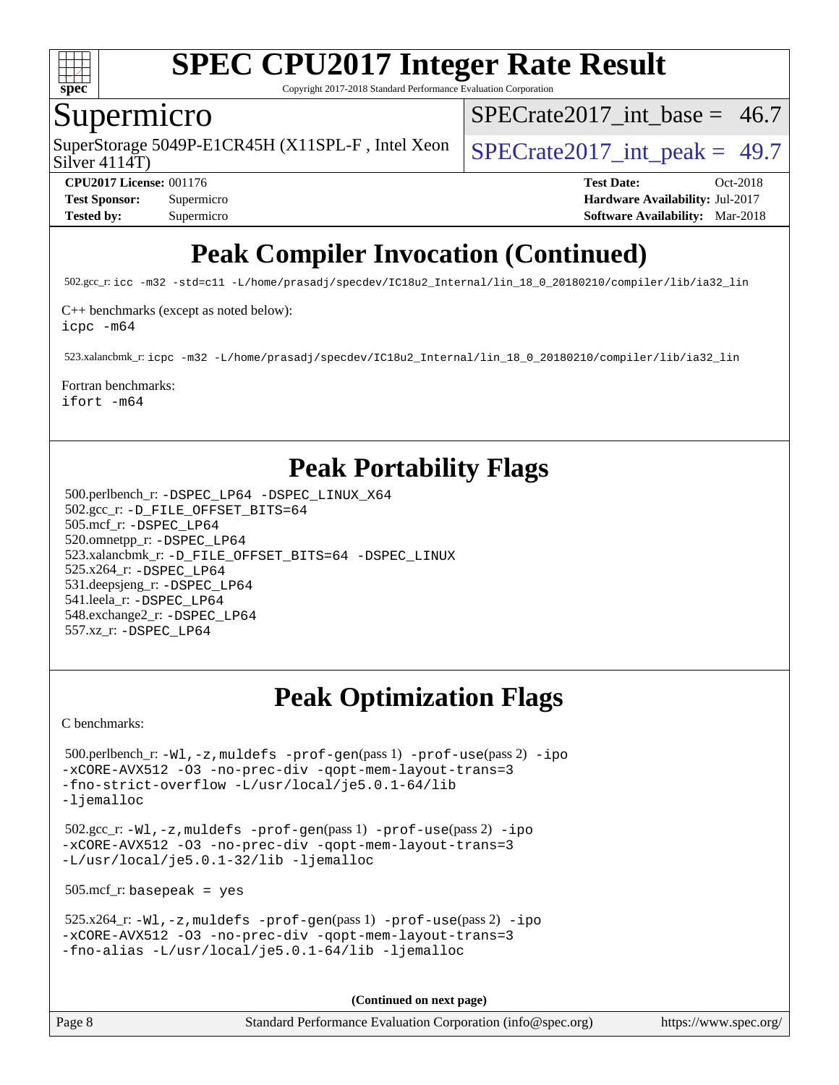

Copyright 2017-2018 Standard Performance Evaluation Corporation

### Supermicro

SuperStorage 5049P-E1CR45H (X11SPL-F, Intel Xeon  $\big|$  SPECrate 2017 int peak = 49.7

SPECrate2017 int\_base =  $46.7$ 

Silver 4114T)

**[CPU2017 License:](http://www.spec.org/auto/cpu2017/Docs/result-fields.html#CPU2017License)** 001176 **[Test Date:](http://www.spec.org/auto/cpu2017/Docs/result-fields.html#TestDate)** Oct-2018 **[Test Sponsor:](http://www.spec.org/auto/cpu2017/Docs/result-fields.html#TestSponsor)** Supermicro **[Hardware Availability:](http://www.spec.org/auto/cpu2017/Docs/result-fields.html#HardwareAvailability)** Jul-2017 **[Tested by:](http://www.spec.org/auto/cpu2017/Docs/result-fields.html#Testedby)** Supermicro **[Software Availability:](http://www.spec.org/auto/cpu2017/Docs/result-fields.html#SoftwareAvailability)** Mar-2018

# **[Peak Compiler Invocation \(Continued\)](http://www.spec.org/auto/cpu2017/Docs/result-fields.html#PeakCompilerInvocation)**

502.gcc\_r: [icc -m32 -std=c11 -L/home/prasadj/specdev/IC18u2\\_Internal/lin\\_18\\_0\\_20180210/compiler/lib/ia32\\_lin](http://www.spec.org/cpu2017/results/res2018q4/cpu2017-20181029-09411.flags.html#user_peakCCLD502_gcc_r_intel_icc_a481ac844e7127046fad14d498c730a1848fa901fbbb2c3dfdd5e9fbbac777c8009953946d55d8b6afe8ed0da70dd2b4f8dedbdf7ab1ee211ba70d24a5d89f85)

[C++ benchmarks \(except as noted below\):](http://www.spec.org/auto/cpu2017/Docs/result-fields.html#CXXbenchmarksexceptasnotedbelow)

[icpc -m64](http://www.spec.org/cpu2017/results/res2018q4/cpu2017-20181029-09411.flags.html#user_CXXpeak_intel_icpc_64bit_4ecb2543ae3f1412ef961e0650ca070fec7b7afdcd6ed48761b84423119d1bf6bdf5cad15b44d48e7256388bc77273b966e5eb805aefd121eb22e9299b2ec9d9)

523.xalancbmk\_r: [icpc -m32 -L/home/prasadj/specdev/IC18u2\\_Internal/lin\\_18\\_0\\_20180210/compiler/lib/ia32\\_lin](http://www.spec.org/cpu2017/results/res2018q4/cpu2017-20181029-09411.flags.html#user_peakCXXLD523_xalancbmk_r_intel_icpc_c6d030cd79af6ea7d6fb64c57e8fe7ae8fe0b96fc5a3b3f4a10e3273b3d7fa9decd8263f6330cef23f751cb093a69fae84a2bf4c243500a8eed069248128076f)

### [Fortran benchmarks](http://www.spec.org/auto/cpu2017/Docs/result-fields.html#Fortranbenchmarks):

[ifort -m64](http://www.spec.org/cpu2017/results/res2018q4/cpu2017-20181029-09411.flags.html#user_FCpeak_intel_ifort_64bit_24f2bb282fbaeffd6157abe4f878425411749daecae9a33200eee2bee2fe76f3b89351d69a8130dd5949958ce389cf37ff59a95e7a40d588e8d3a57e0c3fd751)

## **[Peak Portability Flags](http://www.spec.org/auto/cpu2017/Docs/result-fields.html#PeakPortabilityFlags)**

 500.perlbench\_r: [-DSPEC\\_LP64](http://www.spec.org/cpu2017/results/res2018q4/cpu2017-20181029-09411.flags.html#b500.perlbench_r_peakPORTABILITY_DSPEC_LP64) [-DSPEC\\_LINUX\\_X64](http://www.spec.org/cpu2017/results/res2018q4/cpu2017-20181029-09411.flags.html#b500.perlbench_r_peakCPORTABILITY_DSPEC_LINUX_X64) 502.gcc\_r: [-D\\_FILE\\_OFFSET\\_BITS=64](http://www.spec.org/cpu2017/results/res2018q4/cpu2017-20181029-09411.flags.html#user_peakPORTABILITY502_gcc_r_file_offset_bits_64_5ae949a99b284ddf4e95728d47cb0843d81b2eb0e18bdfe74bbf0f61d0b064f4bda2f10ea5eb90e1dcab0e84dbc592acfc5018bc955c18609f94ddb8d550002c) 505.mcf\_r: [-DSPEC\\_LP64](http://www.spec.org/cpu2017/results/res2018q4/cpu2017-20181029-09411.flags.html#suite_peakPORTABILITY505_mcf_r_DSPEC_LP64) 520.omnetpp\_r: [-DSPEC\\_LP64](http://www.spec.org/cpu2017/results/res2018q4/cpu2017-20181029-09411.flags.html#suite_peakPORTABILITY520_omnetpp_r_DSPEC_LP64) 523.xalancbmk\_r: [-D\\_FILE\\_OFFSET\\_BITS=64](http://www.spec.org/cpu2017/results/res2018q4/cpu2017-20181029-09411.flags.html#user_peakPORTABILITY523_xalancbmk_r_file_offset_bits_64_5ae949a99b284ddf4e95728d47cb0843d81b2eb0e18bdfe74bbf0f61d0b064f4bda2f10ea5eb90e1dcab0e84dbc592acfc5018bc955c18609f94ddb8d550002c) [-DSPEC\\_LINUX](http://www.spec.org/cpu2017/results/res2018q4/cpu2017-20181029-09411.flags.html#b523.xalancbmk_r_peakCXXPORTABILITY_DSPEC_LINUX) 525.x264\_r: [-DSPEC\\_LP64](http://www.spec.org/cpu2017/results/res2018q4/cpu2017-20181029-09411.flags.html#suite_peakPORTABILITY525_x264_r_DSPEC_LP64) 531.deepsjeng\_r: [-DSPEC\\_LP64](http://www.spec.org/cpu2017/results/res2018q4/cpu2017-20181029-09411.flags.html#suite_peakPORTABILITY531_deepsjeng_r_DSPEC_LP64) 541.leela\_r: [-DSPEC\\_LP64](http://www.spec.org/cpu2017/results/res2018q4/cpu2017-20181029-09411.flags.html#suite_peakPORTABILITY541_leela_r_DSPEC_LP64) 548.exchange2\_r: [-DSPEC\\_LP64](http://www.spec.org/cpu2017/results/res2018q4/cpu2017-20181029-09411.flags.html#suite_peakPORTABILITY548_exchange2_r_DSPEC_LP64) 557.xz\_r: [-DSPEC\\_LP64](http://www.spec.org/cpu2017/results/res2018q4/cpu2017-20181029-09411.flags.html#suite_peakPORTABILITY557_xz_r_DSPEC_LP64)

# **[Peak Optimization Flags](http://www.spec.org/auto/cpu2017/Docs/result-fields.html#PeakOptimizationFlags)**

[C benchmarks](http://www.spec.org/auto/cpu2017/Docs/result-fields.html#Cbenchmarks):

```
 500.perlbench_r: -Wl,-z,muldefs -prof-gen(pass 1) -prof-use(pass 2) -ipo
-xCORE-AVX512 -O3 -no-prec-div -qopt-mem-layout-trans=3
-fno-strict-overflow -L/usr/local/je5.0.1-64/lib
-ljemalloc
```
 502.gcc\_r: [-Wl,-z,muldefs](http://www.spec.org/cpu2017/results/res2018q4/cpu2017-20181029-09411.flags.html#user_peakEXTRA_LDFLAGS502_gcc_r_link_force_multiple1_b4cbdb97b34bdee9ceefcfe54f4c8ea74255f0b02a4b23e853cdb0e18eb4525ac79b5a88067c842dd0ee6996c24547a27a4b99331201badda8798ef8a743f577) [-prof-gen](http://www.spec.org/cpu2017/results/res2018q4/cpu2017-20181029-09411.flags.html#user_peakPASS1_CFLAGSPASS1_LDFLAGS502_gcc_r_prof_gen_5aa4926d6013ddb2a31985c654b3eb18169fc0c6952a63635c234f711e6e63dd76e94ad52365559451ec499a2cdb89e4dc58ba4c67ef54ca681ffbe1461d6b36)(pass 1) [-prof-use](http://www.spec.org/cpu2017/results/res2018q4/cpu2017-20181029-09411.flags.html#user_peakPASS2_CFLAGSPASS2_LDFLAGS502_gcc_r_prof_use_1a21ceae95f36a2b53c25747139a6c16ca95bd9def2a207b4f0849963b97e94f5260e30a0c64f4bb623698870e679ca08317ef8150905d41bd88c6f78df73f19)(pass 2) [-ipo](http://www.spec.org/cpu2017/results/res2018q4/cpu2017-20181029-09411.flags.html#user_peakPASS1_COPTIMIZEPASS2_COPTIMIZE502_gcc_r_f-ipo) [-xCORE-AVX512](http://www.spec.org/cpu2017/results/res2018q4/cpu2017-20181029-09411.flags.html#user_peakPASS2_COPTIMIZE502_gcc_r_f-xCORE-AVX512) [-O3](http://www.spec.org/cpu2017/results/res2018q4/cpu2017-20181029-09411.flags.html#user_peakPASS1_COPTIMIZEPASS2_COPTIMIZE502_gcc_r_f-O3) [-no-prec-div](http://www.spec.org/cpu2017/results/res2018q4/cpu2017-20181029-09411.flags.html#user_peakPASS1_COPTIMIZEPASS2_COPTIMIZE502_gcc_r_f-no-prec-div) [-qopt-mem-layout-trans=3](http://www.spec.org/cpu2017/results/res2018q4/cpu2017-20181029-09411.flags.html#user_peakPASS1_COPTIMIZEPASS2_COPTIMIZE502_gcc_r_f-qopt-mem-layout-trans_de80db37974c74b1f0e20d883f0b675c88c3b01e9d123adea9b28688d64333345fb62bc4a798493513fdb68f60282f9a726aa07f478b2f7113531aecce732043) [-L/usr/local/je5.0.1-32/lib](http://www.spec.org/cpu2017/results/res2018q4/cpu2017-20181029-09411.flags.html#user_peakEXTRA_LIBS502_gcc_r_jemalloc_link_path32_e29f22e8e6c17053bbc6a0971f5a9c01a601a06bb1a59df2084b77a2fe0a2995b64fd4256feaeea39eeba3aae142e96e2b2b0a28974019c0c0c88139a84f900a) [-ljemalloc](http://www.spec.org/cpu2017/results/res2018q4/cpu2017-20181029-09411.flags.html#user_peakEXTRA_LIBS502_gcc_r_jemalloc_link_lib_d1249b907c500fa1c0672f44f562e3d0f79738ae9e3c4a9c376d49f265a04b9c99b167ecedbf6711b3085be911c67ff61f150a17b3472be731631ba4d0471706)

505.mcf\_r: basepeak = yes

```
 525.x264_r: -Wl,-z,muldefs -prof-gen(pass 1) -prof-use(pass 2) -ipo
-xCORE-AVX512 -O3 -no-prec-div -qopt-mem-layout-trans=3
-fno-alias -L/usr/local/je5.0.1-64/lib -ljemalloc
```
**(Continued on next page)**

Page 8 Standard Performance Evaluation Corporation [\(info@spec.org\)](mailto:info@spec.org) <https://www.spec.org/>